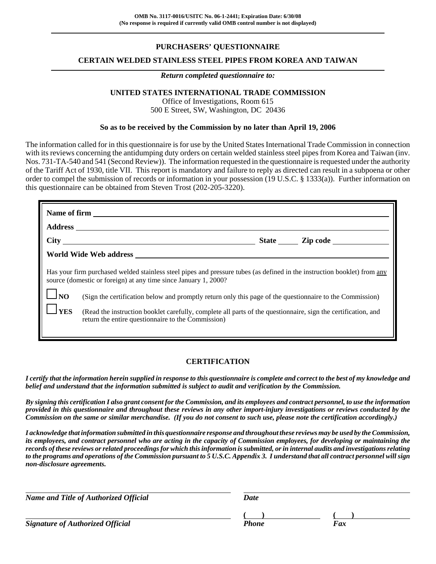# **PURCHASERS' QUESTIONNAIRE**

# **CERTAIN WELDED STAINLESS STEEL PIPES FROM KOREA AND TAIWAN**

#### *Return completed questionnaire to:*

# **UNITED STATES INTERNATIONAL TRADE COMMISSION**

Office of Investigations, Room 615 500 E Street, SW, Washington, DC 20436

### **So as to be received by the Commission by no later than April 19, 2006**

The information called for in this questionnaire is for use by the United States International Trade Commission in connection with its reviews concerning the antidumping duty orders on certain welded stainless steel pipes from Korea and Taiwan (inv. Nos. 731-TA-540 and 541 (Second Review)). The information requested in the questionnaire is requested under the authority of the Tariff Act of 1930, title VII. This report is mandatory and failure to reply as directed can result in a subpoena or other order to compel the submission of records or information in your possession (19 U.S.C. § 1333(a)). Further information on this questionnaire can be obtained from Steven Trost (202-205-3220).

|                                                                                                                                                                                                                                                                                                                                                                                                                                                                                                          |  |  | State <b>Leap Zip code</b> |  |  |
|----------------------------------------------------------------------------------------------------------------------------------------------------------------------------------------------------------------------------------------------------------------------------------------------------------------------------------------------------------------------------------------------------------------------------------------------------------------------------------------------------------|--|--|----------------------------|--|--|
|                                                                                                                                                                                                                                                                                                                                                                                                                                                                                                          |  |  |                            |  |  |
| Has your firm purchased welded stainless steel pipes and pressure tubes (as defined in the instruction booklet) from any<br>source (domestic or foreign) at any time since January 1, 2000?<br>$\log$<br>(Sign the certification below and promptly return only this page of the questionnaire to the Commission)<br><b>I</b> YES<br>(Read the instruction booklet carefully, complete all parts of the questionnaire, sign the certification, and<br>return the entire questionnaire to the Commission) |  |  |                            |  |  |

# **CERTIFICATION**

*I certify that the information herein supplied in response to this questionnaire is complete and correct to the best of my knowledge and belief and understand that the information submitted is subject to audit and verification by the Commission.*

*By signing this certification I also grant consent for the Commission, and its employees and contract personnel, to use the information provided in this questionnaire and throughout these reviews in any other import-injury investigations or reviews conducted by the Commission on the same or similar merchandise. (If you do not consent to such use, please note the certification accordingly.)*

*I acknowledge that information submitted in this questionnaire response and throughout these reviews may be used by the Commission, its employees, and contract personnel who are acting in the capacity of Commission employees, for developing or maintaining the records of these reviews or related proceedings for which this information is submitted, or in internal audits and investigations relating to the programs and operations of the Commission pursuant to 5 U.S.C. Appendix 3. I understand that all contract personnel will sign non-disclosure agreements.*

*Name and Title of Authorized Official* Date Date

**Signature of Authorized Official Phone Faxce Phone** Phone

**( ) ( )**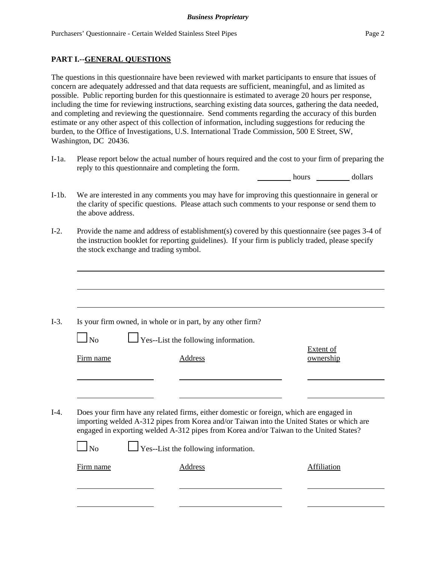# **PART I.--GENERAL QUESTIONS**

The questions in this questionnaire have been reviewed with market participants to ensure that issues of concern are adequately addressed and that data requests are sufficient, meaningful, and as limited as possible. Public reporting burden for this questionnaire is estimated to average 20 hours per response, including the time for reviewing instructions, searching existing data sources, gathering the data needed, and completing and reviewing the questionnaire. Send comments regarding the accuracy of this burden estimate or any other aspect of this collection of information, including suggestions for reducing the burden, to the Office of Investigations, U.S. International Trade Commission, 500 E Street, SW, Washington, DC 20436.

I-1a. Please report below the actual number of hours required and the cost to your firm of preparing the reply to this questionnaire and completing the form.

hours dollars

- I-1b. We are interested in any comments you may have for improving this questionnaire in general or the clarity of specific questions. Please attach such comments to your response or send them to the above address.
- I-2. Provide the name and address of establishment(s) covered by this questionnaire (see pages 3-4 of the instruction booklet for reporting guidelines). If your firm is publicly traded, please specify the stock exchange and trading symbol.

|           | Is your firm owned, in whole or in part, by any other firm?                                                                                                                                                                                                                                                                   |                               |
|-----------|-------------------------------------------------------------------------------------------------------------------------------------------------------------------------------------------------------------------------------------------------------------------------------------------------------------------------------|-------------------------------|
| $\Box$ No | $\Box$ Yes--List the following information.                                                                                                                                                                                                                                                                                   |                               |
| Firm name | <b>Address</b>                                                                                                                                                                                                                                                                                                                | <b>Extent of</b><br>ownership |
|           |                                                                                                                                                                                                                                                                                                                               |                               |
|           |                                                                                                                                                                                                                                                                                                                               |                               |
|           |                                                                                                                                                                                                                                                                                                                               |                               |
| No        | Does your firm have any related firms, either domestic or foreign, which are engaged in<br>importing welded A-312 pipes from Korea and/or Taiwan into the United States or which are<br>engaged in exporting welded A-312 pipes from Korea and/or Taiwan to the United States?<br>$\Box$ Yes--List the following information. |                               |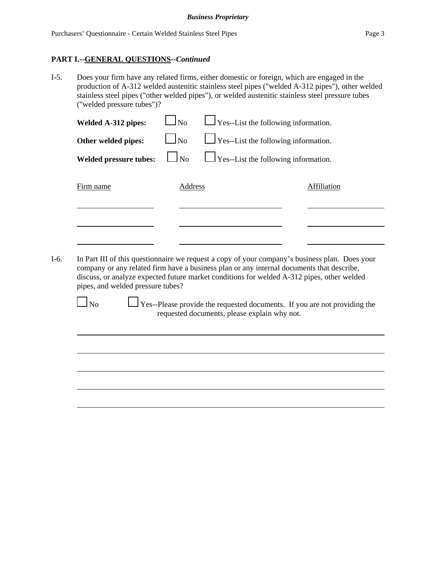### **PART I.--GENERAL QUESTIONS--***Continued*

I-5. Does your firm have any related firms, either domestic or foreign, which are engaged in the production of A-312 welded austenitic stainless steel pipes ("welded A-312 pipes"), other welded stainless steel pipes ("other welded pipes"), or welded austenitic stainless steel pressure tubes ("welded pressure tubes")?

| Welded A-312 pipes:           | $\Box$ No         | $\Box$ Yes--List the following information. |             |
|-------------------------------|-------------------|---------------------------------------------|-------------|
| Other welded pipes:           | $\blacksquare$ No | $\Box$ Yes--List the following information. |             |
| <b>Welded pressure tubes:</b> | $\log$            | $\Box$ Yes--List the following information. |             |
| Firm name                     | Address           |                                             | Affiliation |
|                               |                   |                                             |             |
|                               |                   |                                             |             |

I-6. In Part III of this questionnaire we request a copy of your company's business plan. Does your company or any related firm have a business plan or any internal documents that describe, discuss, or analyze expected future market conditions for welded A-312 pipes, other welded pipes, and welded pressure tubes?

 $\Box$  No  $\Box$  Yes--Please provide the requested documents. If you are not providing the requested documents, please explain why not.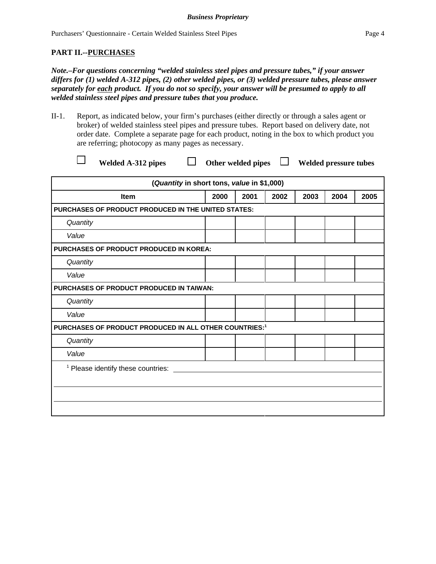# **PART II.--PURCHASES**

*Note.–For questions concerning "welded stainless steel pipes and pressure tubes," if your answer differs for (1) welded A-312 pipes, (2) other welded pipes, or (3) welded pressure tubes, please answer separately for each product. If you do not so specify, your answer will be presumed to apply to all welded stainless steel pipes and pressure tubes that you produce.*

II-1. Report, as indicated below, your firm's purchases (either directly or through a sales agent or broker) of welded stainless steel pipes and pressure tubes. Report based on delivery date, not order date. Complete a separate page for each product, noting in the box to which product you are referring; photocopy as many pages as necessary.

Welded A-312 pipes  $\Box$  Other welded pipes  $\Box$  Welded pressure tubes

| (Quantity in short tons, value in \$1,000)                         |      |      |      |      |      |      |
|--------------------------------------------------------------------|------|------|------|------|------|------|
| <b>Item</b>                                                        | 2000 | 2001 | 2002 | 2003 | 2004 | 2005 |
| PURCHASES OF PRODUCT PRODUCED IN THE UNITED STATES:                |      |      |      |      |      |      |
| Quantity                                                           |      |      |      |      |      |      |
| Value                                                              |      |      |      |      |      |      |
| <b>PURCHASES OF PRODUCT PRODUCED IN KOREA:</b>                     |      |      |      |      |      |      |
| Quantity                                                           |      |      |      |      |      |      |
| Value                                                              |      |      |      |      |      |      |
| <b>PURCHASES OF PRODUCT PRODUCED IN TAIWAN:</b>                    |      |      |      |      |      |      |
| Quantity                                                           |      |      |      |      |      |      |
| Value                                                              |      |      |      |      |      |      |
| PURCHASES OF PRODUCT PRODUCED IN ALL OTHER COUNTRIES: <sup>1</sup> |      |      |      |      |      |      |
| Quantity                                                           |      |      |      |      |      |      |
| Value                                                              |      |      |      |      |      |      |
| <sup>1</sup> Please identify these countries:                      |      |      |      |      |      |      |
|                                                                    |      |      |      |      |      |      |
|                                                                    |      |      |      |      |      |      |
|                                                                    |      |      |      |      |      |      |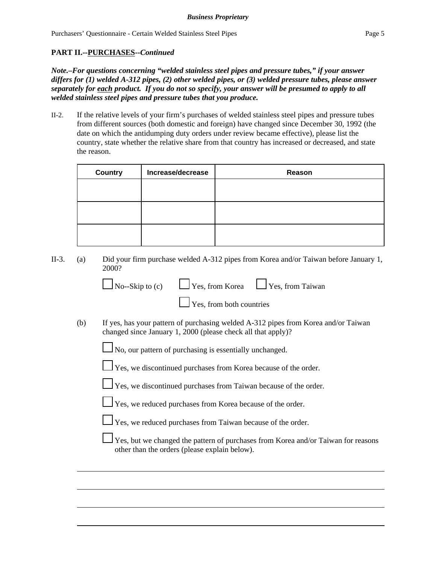# **PART II.--PURCHASES--***Continued*

*Note.–For questions concerning "welded stainless steel pipes and pressure tubes," if your answer differs for (1) welded A-312 pipes, (2) other welded pipes, or (3) welded pressure tubes, please answer separately for each product. If you do not so specify, your answer will be presumed to apply to all welded stainless steel pipes and pressure tubes that you produce.*

II-2. If the relative levels of your firm's purchases of welded stainless steel pipes and pressure tubes from different sources (both domestic and foreign) have changed since December 30, 1992 (the date on which the antidumping duty orders under review became effective), please list the country, state whether the relative share from that country has increased or decreased, and state the reason.

| <b>Country</b> | Increase/decrease | Reason |
|----------------|-------------------|--------|
|                |                   |        |
|                |                   |        |
|                |                   |        |
|                |                   |        |
|                |                   |        |
|                |                   |        |

II-3. (a) Did your firm purchase welded A-312 pipes from Korea and/or Taiwan before January 1, 2000?

|     | $\Box$ No--Skip to (c) $\Box$ Yes, from Korea $\Box$ Yes, from Taiwan   |                                                                                    |
|-----|-------------------------------------------------------------------------|------------------------------------------------------------------------------------|
|     | $\Gamma$ Yes, from both countries                                       |                                                                                    |
| (b) | changed since January 1, 2000 (please check all that apply)?            | If yes, has your pattern of purchasing welded A-312 pipes from Korea and/or Taiwan |
|     | $\Box$ No, our pattern of purchasing is essentially unchanged.          |                                                                                    |
|     | $\Box$ Yes, we discontinued purchases from Korea because of the order.  |                                                                                    |
|     | $\Box$ Yes, we discontinued purchases from Taiwan because of the order. |                                                                                    |
|     | $\Box$ Yes, we reduced purchases from Korea because of the order.       |                                                                                    |
|     |                                                                         |                                                                                    |

Yes, we reduced purchases from Taiwan because of the order.

 Yes, but we changed the pattern of purchases from Korea and/or Taiwan for reasons other than the orders (please explain below).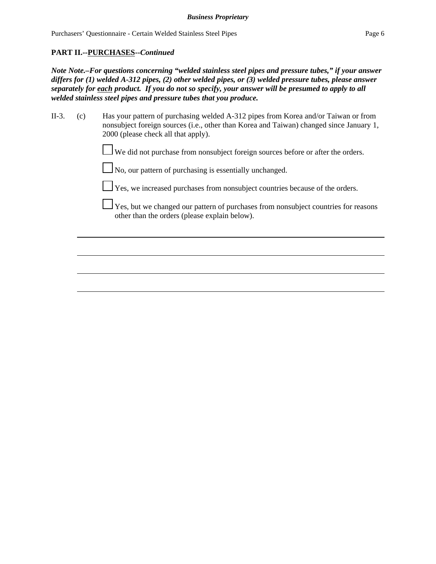### **PART II.--PURCHASES--***Continued*

*Note Note.–For questions concerning "welded stainless steel pipes and pressure tubes," if your answer differs for (1) welded A-312 pipes, (2) other welded pipes, or (3) welded pressure tubes, please answer separately for each product. If you do not so specify, your answer will be presumed to apply to all welded stainless steel pipes and pressure tubes that you produce.*

| II-3. | (c) | Has your pattern of purchasing welded A-312 pipes from Korea and/or Taiwan or from      |
|-------|-----|-----------------------------------------------------------------------------------------|
|       |     | nonsubject foreign sources (i.e., other than Korea and Taiwan) changed since January 1, |
|       |     | 2000 (please check all that apply).                                                     |

We did not purchase from nonsubject foreign sources before or after the orders.

No, our pattern of purchasing is essentially unchanged.

Yes, we increased purchases from nonsubject countries because of the orders.

 $\Box$  Yes, but we changed our pattern of purchases from nonsubject countries for reasons other than the orders (please explain below).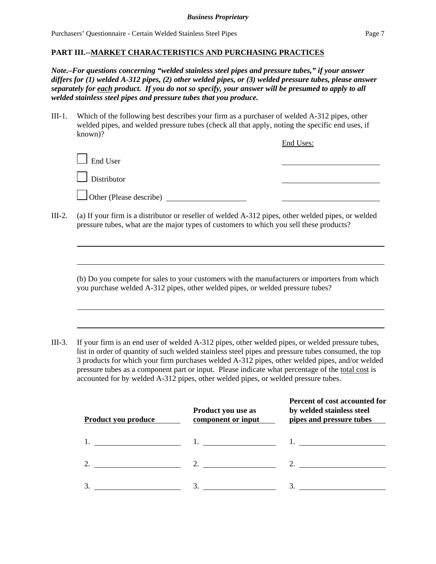*Note.–For questions concerning "welded stainless steel pipes and pressure tubes," if your answer differs for (1) welded A-312 pipes, (2) other welded pipes, or (3) welded pressure tubes, please answer separately for each product. If you do not so specify, your answer will be presumed to apply to all welded stainless steel pipes and pressure tubes that you produce.*

III-1. Which of the following best describes your firm as a purchaser of welded A-312 pipes, other welded pipes, and welded pressure tubes (check all that apply, noting the specific end uses, if known)?

End Uses:  $\perp$  End User Distributor Other (Please describe)

III-2. (a) If your firm is a distributor or reseller of welded A-312 pipes, other welded pipes, or welded pressure tubes, what are the major types of customers to which you sell these products?

(b) Do you compete for sales to your customers with the manufacturers or importers from which you purchase welded A-312 pipes, other welded pipes, or welded pressure tubes?

III-3. If your firm is an end user of welded A-312 pipes, other welded pipes, or welded pressure tubes, list in order of quantity of such welded stainless steel pipes and pressure tubes consumed, the top 3 products for which your firm purchases welded A-312 pipes, other welded pipes, and/or welded pressure tubes as a component part or input. Please indicate what percentage of the total cost is accounted for by welded A-312 pipes, other welded pipes, or welded pressure tubes.

| Product you produce | Product you use as<br>component or input | Percent of cost accounted for<br>by welded stainless steel<br>pipes and pressure tubes |
|---------------------|------------------------------------------|----------------------------------------------------------------------------------------|
|                     |                                          |                                                                                        |
|                     |                                          |                                                                                        |
|                     | 3.                                       |                                                                                        |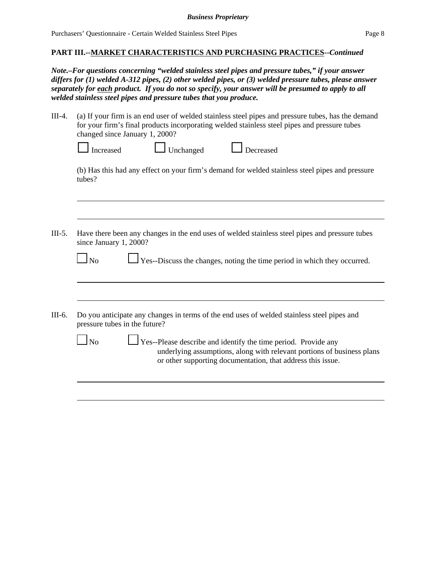*Note.–For questions concerning "welded stainless steel pipes and pressure tubes," if your answer differs for (1) welded A-312 pipes, (2) other welded pipes, or (3) welded pressure tubes, please answer separately for each product. If you do not so specify, your answer will be presumed to apply to all welded stainless steel pipes and pressure tubes that you produce.*

III-4. (a) If your firm is an end user of welded stainless steel pipes and pressure tubes, has the demand for your firm's final products incorporating welded stainless steel pipes and pressure tubes changed since January 1, 2000?

| $\Box$ Increased | $\Box$ Unchanged | Decreased |
|------------------|------------------|-----------|
|------------------|------------------|-----------|

(b) Has this had any effect on your firm's demand for welded stainless steel pipes and pressure tubes?

III-5. Have there been any changes in the end uses of welded stainless steel pipes and pressure tubes since January 1, 2000?

| No |  |
|----|--|
|    |  |

 $\perp$  Yes--Discuss the changes, noting the time period in which they occurred.

III-6. Do you anticipate any changes in terms of the end uses of welded stainless steel pipes and pressure tubes in the future?

> $\Box$  Yes--Please describe and identify the time period. Provide any underlying assumptions, along with relevant portions of business plans or other supporting documentation, that address this issue.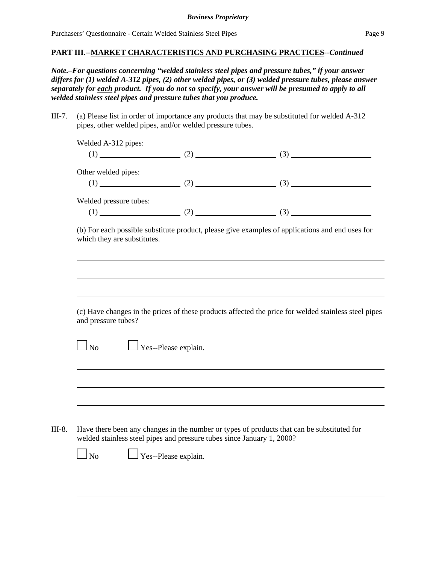*Note.–For questions concerning "welded stainless steel pipes and pressure tubes," if your answer differs for (1) welded A-312 pipes, (2) other welded pipes, or (3) welded pressure tubes, please answer separately for each product. If you do not so specify, your answer will be presumed to apply to all welded stainless steel pipes and pressure tubes that you produce.*

III-7. (a) Please list in order of importance any products that may be substituted for welded A-312 pipes, other welded pipes, and/or welded pressure tubes.

Welded A-312 pipes:  $(1)$  (2) (3)

Other welded pipes:

Welded pressure tubes:

(1)  $(2)$   $(3)$ 

(b) For each possible substitute product, please give examples of applications and end uses for which they are substitutes.

(c) Have changes in the prices of these products affected the price for welded stainless steel pipes and pressure tubes?

 $\Box$  No  $\Box$  Yes--Please explain.

III-8. Have there been any changes in the number or types of products that can be substituted for welded stainless steel pipes and pressure tubes since January 1, 2000?

 $\Box$  No  $\Box$  Yes--Please explain.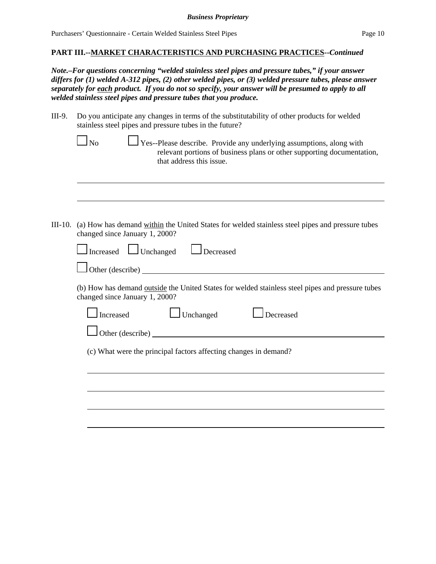#### **PART III.--MARKET CHARACTERISTICS AND PURCHASING PRACTICES--***Continued*

*Note.–For questions concerning "welded stainless steel pipes and pressure tubes," if your answer differs for (1) welded A-312 pipes, (2) other welded pipes, or (3) welded pressure tubes, please answer separately for each product. If you do not so specify, your answer will be presumed to apply to all welded stainless steel pipes and pressure tubes that you produce.*

III-9. Do you anticipate any changes in terms of the substitutability of other products for welded stainless steel pipes and pressure tubes in the future?

 $\Box$  Yes--Please describe. Provide any underlying assumptions, along with relevant portions of business plans or other supporting documentation, that address this issue.

III-10. (a) How has demand within the United States for welded stainless steel pipes and pressure tubes changed since January 1, 2000?

| Increased<br>$\Box$ Unchanged<br>Decreased                                                                                         |
|------------------------------------------------------------------------------------------------------------------------------------|
| Other (describe)                                                                                                                   |
| (b) How has demand outside the United States for welded stainless steel pipes and pressure tubes<br>changed since January 1, 2000? |
| Unchanged<br>Increased<br>Decreased                                                                                                |
| Other (describe)                                                                                                                   |
| (c) What were the principal factors affecting changes in demand?                                                                   |
|                                                                                                                                    |
|                                                                                                                                    |
|                                                                                                                                    |
|                                                                                                                                    |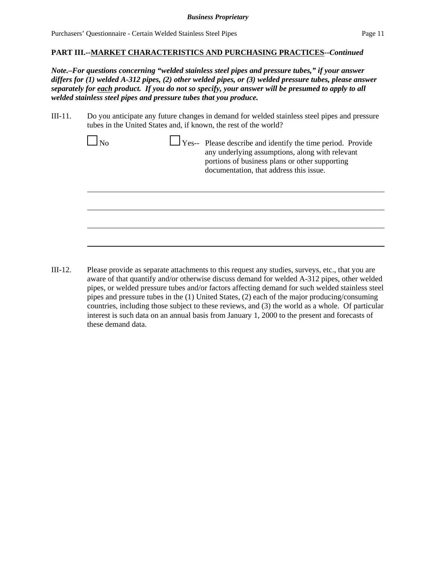*Note.–For questions concerning "welded stainless steel pipes and pressure tubes," if your answer differs for (1) welded A-312 pipes, (2) other welded pipes, or (3) welded pressure tubes, please answer separately for each product. If you do not so specify, your answer will be presumed to apply to all welded stainless steel pipes and pressure tubes that you produce.*

III-11. Do you anticipate any future changes in demand for welded stainless steel pipes and pressure tubes in the United States and, if known, the rest of the world?

|  | Yes-- Please describe and identify the time period. Provide<br>any underlying assumptions, along with relevant<br>portions of business plans or other supporting<br>documentation, that address this issue. |
|--|-------------------------------------------------------------------------------------------------------------------------------------------------------------------------------------------------------------|
|  |                                                                                                                                                                                                             |
|  |                                                                                                                                                                                                             |
|  |                                                                                                                                                                                                             |

III-12. Please provide as separate attachments to this request any studies, surveys, etc., that you are aware of that quantify and/or otherwise discuss demand for welded A-312 pipes, other welded pipes, or welded pressure tubes and/or factors affecting demand for such welded stainless steel pipes and pressure tubes in the (1) United States, (2) each of the major producing/consuming countries, including those subject to these reviews, and (3) the world as a whole. Of particular interest is such data on an annual basis from January 1, 2000 to the present and forecasts of these demand data.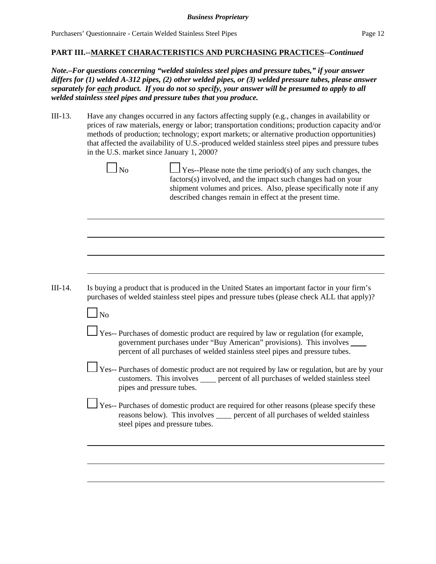*Note.–For questions concerning "welded stainless steel pipes and pressure tubes," if your answer differs for (1) welded A-312 pipes, (2) other welded pipes, or (3) welded pressure tubes, please answer separately for each product. If you do not so specify, your answer will be presumed to apply to all welded stainless steel pipes and pressure tubes that you produce.*

III-13. Have any changes occurred in any factors affecting supply (e.g., changes in availability or prices of raw materials, energy or labor; transportation conditions; production capacity and/or methods of production; technology; export markets; or alternative production opportunities) that affected the availability of U.S.-produced welded stainless steel pipes and pressure tubes in the U.S. market since January 1, 2000?

|           | Yes--Please note the time period(s) of any such changes, the<br>factors(s) involved, and the impact such changes had on your<br>shipment volumes and prices. Also, please specifically note if any<br>described changes remain in effect at the present time. |
|-----------|---------------------------------------------------------------------------------------------------------------------------------------------------------------------------------------------------------------------------------------------------------------|
|           |                                                                                                                                                                                                                                                               |
|           |                                                                                                                                                                                                                                                               |
|           |                                                                                                                                                                                                                                                               |
|           | Is buying a product that is produced in the United States an important factor in your firm's<br>purchases of welded stainless steel pipes and pressure tubes (please check ALL that apply)?                                                                   |
| $\Box$ No |                                                                                                                                                                                                                                                               |
|           | $\Box$ Yes-- Purchases of domestic product are required by law or regulation (for example,<br>government purchases under "Buy American" provisions). This involves<br>percent of all purchases of welded stainless steel pipes and pressure tubes.            |
|           | Yes-- Purchases of domestic product are not required by law or regulation, but are by your<br>customers. This involves _____ percent of all purchases of welded stainless steel<br>pipes and pressure tubes.                                                  |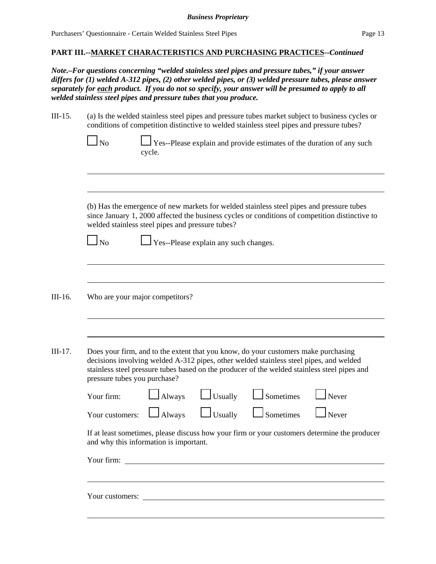*Note.–For questions concerning "welded stainless steel pipes and pressure tubes," if your answer differs for (1) welded A-312 pipes, (2) other welded pipes, or (3) welded pressure tubes, please answer separately for each product. If you do not so specify, your answer will be presumed to apply to all welded stainless steel pipes and pressure tubes that you produce.*

| III-15. | (a) Is the welded stainless steel pipes and pressure tubes market subject to business cycles or |
|---------|-------------------------------------------------------------------------------------------------|
|         | conditions of competition distinctive to welded stainless steel pipes and pressure tubes?       |

| $\Box$ No | $\Box$ Yes--Please explain and provide estimates of the duration of any such |
|-----------|------------------------------------------------------------------------------|
|           | cycle.                                                                       |

(b) Has the emergence of new markets for welded stainless steel pipes and pressure tubes since January 1, 2000 affected the business cycles or conditions of competition distinctive to welded stainless steel pipes and pressure tubes?

No Yes--Please explain any such changes.

III-16. Who are your major competitors?

III-17. Does your firm, and to the extent that you know, do your customers make purchasing decisions involving welded A-312 pipes, other welded stainless steel pipes, and welded stainless steel pressure tubes based on the producer of the welded stainless steel pipes and pressure tubes you purchase?

| Your firm: |  | $\Box$ Always $\Box$ Usually $\Box$ Sometimes $\Box$ Never                 |  |
|------------|--|----------------------------------------------------------------------------|--|
|            |  | Your customers: $\Box$ Always $\Box$ Usually $\Box$ Sometimes $\Box$ Never |  |

If at least sometimes, please discuss how your firm or your customers determine the producer and why this information is important.

| Your firm: |  |
|------------|--|
|------------|--|

Your customers: **Example 2018 Contract 2018 Contract 2018 Contract 2018 Contract 2018 Contract 2018 Contract 2018 Contract 2018 Contract 2018 Contract 2018 Contract 2018 Contract 2018 Contract 2018**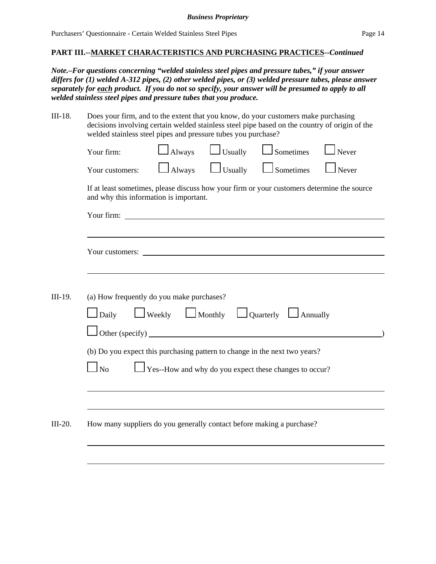*Note.–For questions concerning "welded stainless steel pipes and pressure tubes," if your answer differs for (1) welded A-312 pipes, (2) other welded pipes, or (3) welded pressure tubes, please answer separately for each product. If you do not so specify, your answer will be presumed to apply to all welded stainless steel pipes and pressure tubes that you produce.*

III-18. Does your firm, and to the extent that you know, do your customers make purchasing decisions involving certain welded stainless steel pipe based on the country of origin of the  $R$  and stainless steel pipes and pressure tubes you purchase?

| Your customers:<br>If at least sometimes, please discuss how your firm or your customers determine the source<br>and why this information is important.<br>Your firm:<br>Your customers: <u>contract the contract of the contract of the contract of the contract of the contract of the contract of the contract of the contract of the contract of the contract of the contract of the contract of the </u><br>(a) How frequently do you make purchases?<br>Daily | $\Box$ Always | $\Box$ Usually | Sometimes                                                                                        | Never |
|---------------------------------------------------------------------------------------------------------------------------------------------------------------------------------------------------------------------------------------------------------------------------------------------------------------------------------------------------------------------------------------------------------------------------------------------------------------------|---------------|----------------|--------------------------------------------------------------------------------------------------|-------|
|                                                                                                                                                                                                                                                                                                                                                                                                                                                                     |               |                |                                                                                                  |       |
|                                                                                                                                                                                                                                                                                                                                                                                                                                                                     |               |                |                                                                                                  |       |
|                                                                                                                                                                                                                                                                                                                                                                                                                                                                     |               |                |                                                                                                  |       |
|                                                                                                                                                                                                                                                                                                                                                                                                                                                                     |               |                |                                                                                                  |       |
| (b) Do you expect this purchasing pattern to change in the next two years?                                                                                                                                                                                                                                                                                                                                                                                          |               |                | $\Box$ Weekly $\Box$ Monthly $\Box$ Quarterly $\Box$ Annually<br>Other (specify) $\qquad \qquad$ |       |
| $\log$                                                                                                                                                                                                                                                                                                                                                                                                                                                              |               |                | $\perp$ Yes--How and why do you expect these changes to occur?                                   |       |
| How many suppliers do you generally contact before making a purchase?                                                                                                                                                                                                                                                                                                                                                                                               |               |                |                                                                                                  |       |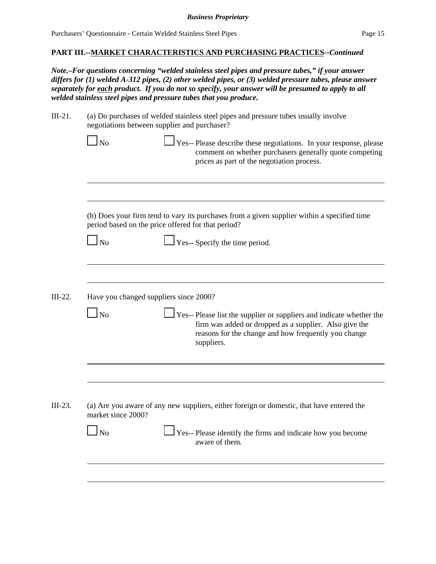*Note.–For questions concerning "welded stainless steel pipes and pressure tubes," if your answer differs for (1) welded A-312 pipes, (2) other welded pipes, or (3) welded pressure tubes, please answer separately for each product. If you do not so specify, your answer will be presumed to apply to all welded stainless steel pipes and pressure tubes that you produce.*

| III-21. | (a) Do purchases of welded stainless steel pipes and pressure tubes usually involve |
|---------|-------------------------------------------------------------------------------------|
|         | negotiations between supplier and purchaser?                                        |
|         |                                                                                     |

| (b) Does your firm tend to vary its purchases from a given supplier within a specified time<br>period based on the price offered for that period?<br>Yes-- Specify the time period.<br>N <sub>o</sub><br>Have you changed suppliers since 2000?<br>N <sub>o</sub><br>suppliers. | $\mathbf{N}_0$ | Yes-- Please describe these negotiations. In your response, please<br>comment on whether purchasers generally quote competing<br>prices as part of the negotiation process. |
|---------------------------------------------------------------------------------------------------------------------------------------------------------------------------------------------------------------------------------------------------------------------------------|----------------|-----------------------------------------------------------------------------------------------------------------------------------------------------------------------------|
| Yes-- Please list the supplier or suppliers and indicate whether the<br>firm was added or dropped as a supplier. Also give the<br>reasons for the change and how frequently you change                                                                                          |                |                                                                                                                                                                             |
|                                                                                                                                                                                                                                                                                 |                |                                                                                                                                                                             |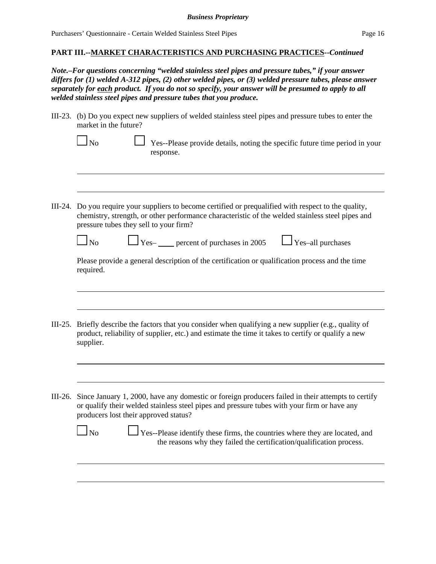### **PART III.--MARKET CHARACTERISTICS AND PURCHASING PRACTICES--***Continued*

*Note.–For questions concerning "welded stainless steel pipes and pressure tubes," if your answer differs for (1) welded A-312 pipes, (2) other welded pipes, or (3) welded pressure tubes, please answer separately for each product. If you do not so specify, your answer will be presumed to apply to all welded stainless steel pipes and pressure tubes that you produce.*

III-23. (b) Do you expect new suppliers of welded stainless steel pipes and pressure tubes to enter the market in the future?

| $\Box$ No | □ Yes--Please provide details, noting the specific future time period in your |
|-----------|-------------------------------------------------------------------------------|
|           | response.                                                                     |

III-24. Do you require your suppliers to become certified or prequalified with respect to the quality, chemistry, strength, or other performance characteristic of the welded stainless steel pipes and pressure tubes they sell to your firm?

 $\bigcup$  Yes– percent of purchases in 2005  $\bigcup$  Yes–all purchases

Please provide a general description of the certification or qualification process and the time required.

- III-25. Briefly describe the factors that you consider when qualifying a new supplier (e.g., quality of product, reliability of supplier, etc.) and estimate the time it takes to certify or qualify a new supplier.
- III-26. Since January 1, 2000, have any domestic or foreign producers failed in their attempts to certify or qualify their welded stainless steel pipes and pressure tubes with your firm or have any producers lost their approved status?

| $\Box$ No | $\Box$ Yes--Please identify these firms, the countries where they are located, and |
|-----------|------------------------------------------------------------------------------------|
|           | the reasons why they failed the certification/qualification process.               |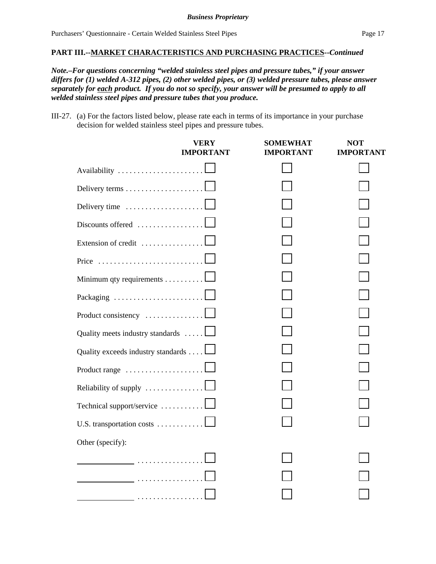*Note.–For questions concerning "welded stainless steel pipes and pressure tubes," if your answer differs for (1) welded A-312 pipes, (2) other welded pipes, or (3) welded pressure tubes, please answer separately for each product. If you do not so specify, your answer will be presumed to apply to all welded stainless steel pipes and pressure tubes that you produce.*

III-27. (a) For the factors listed below, please rate each in terms of its importance in your purchase decision for welded stainless steel pipes and pressure tubes.

|                                    | <b>VERY</b><br><b>IMPORTANT</b> | <b>SOMEWHAT</b><br><b>IMPORTANT</b> | <b>NOT</b><br><b>IMPORTANT</b> |
|------------------------------------|---------------------------------|-------------------------------------|--------------------------------|
|                                    |                                 |                                     |                                |
| Delivery terms                     |                                 |                                     |                                |
| Delivery time                      |                                 |                                     |                                |
| Discounts offered $\ldots$         |                                 |                                     |                                |
| Extension of credit                |                                 |                                     |                                |
| Price                              |                                 |                                     |                                |
| Minimum qty requirements           |                                 |                                     |                                |
| Packaging                          |                                 |                                     |                                |
| Product consistency                |                                 |                                     |                                |
| Quality meets industry standards   |                                 |                                     |                                |
| Quality exceeds industry standards |                                 |                                     |                                |
|                                    |                                 |                                     |                                |
| Reliability of supply              |                                 |                                     |                                |
| Technical support/service          |                                 |                                     |                                |
| U.S. transportation costs          |                                 |                                     |                                |
| Other (specify):                   |                                 |                                     |                                |
|                                    |                                 |                                     |                                |
|                                    |                                 |                                     |                                |
|                                    |                                 |                                     |                                |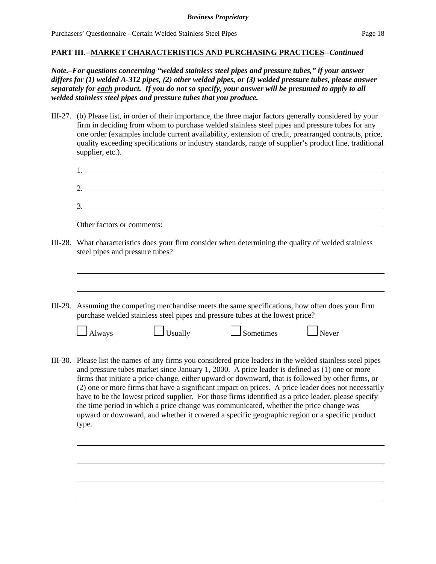*Note.–For questions concerning "welded stainless steel pipes and pressure tubes," if your answer differs for (1) welded A-312 pipes, (2) other welded pipes, or (3) welded pressure tubes, please answer separately for each product. If you do not so specify, your answer will be presumed to apply to all welded stainless steel pipes and pressure tubes that you produce.*

III-27. (b) Please list, in order of their importance, the three major factors generally considered by your firm in deciding from whom to purchase welded stainless steel pipes and pressure tubes for any one order (examples include current availability, extension of credit, prearranged contracts, price, quality exceeding specifications or industry standards, range of supplier's product line, traditional supplier, etc.).

| 2. $\overline{\phantom{a}}$                                                                                                                                                                                                                                                                                                                                                                                                                                                                                                                                                                                                                                                                                                          |
|--------------------------------------------------------------------------------------------------------------------------------------------------------------------------------------------------------------------------------------------------------------------------------------------------------------------------------------------------------------------------------------------------------------------------------------------------------------------------------------------------------------------------------------------------------------------------------------------------------------------------------------------------------------------------------------------------------------------------------------|
| 3.                                                                                                                                                                                                                                                                                                                                                                                                                                                                                                                                                                                                                                                                                                                                   |
|                                                                                                                                                                                                                                                                                                                                                                                                                                                                                                                                                                                                                                                                                                                                      |
| III-28. What characteristics does your firm consider when determining the quality of welded stainless<br>steel pipes and pressure tubes?                                                                                                                                                                                                                                                                                                                                                                                                                                                                                                                                                                                             |
|                                                                                                                                                                                                                                                                                                                                                                                                                                                                                                                                                                                                                                                                                                                                      |
| III-29.<br>Assuming the competing merchandise meets the same specifications, how often does your firm<br>purchase welded stainless steel pipes and pressure tubes at the lowest price?                                                                                                                                                                                                                                                                                                                                                                                                                                                                                                                                               |
| $\Box$ Usually<br>$\Box$ Sometimes<br>$\Box$ Never<br>$\Box$ Always                                                                                                                                                                                                                                                                                                                                                                                                                                                                                                                                                                                                                                                                  |
| III-30. Please list the names of any firms you considered price leaders in the welded stainless steel pipes<br>and pressure tubes market since January 1, 2000. A price leader is defined as (1) one or more<br>firms that initiate a price change, either upward or downward, that is followed by other firms, or<br>(2) one or more firms that have a significant impact on prices. A price leader does not necessarily<br>have to be the lowest priced supplier. For those firms identified as a price leader, please specify<br>the time period in which a price change was communicated, whether the price change was<br>upward or downward, and whether it covered a specific geographic region or a specific product<br>type. |
|                                                                                                                                                                                                                                                                                                                                                                                                                                                                                                                                                                                                                                                                                                                                      |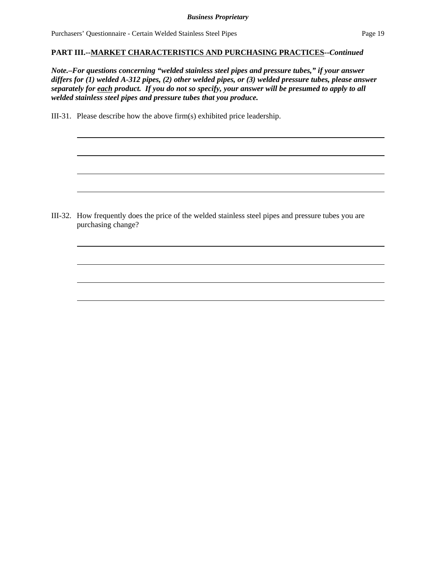### **PART III.--MARKET CHARACTERISTICS AND PURCHASING PRACTICES--***Continued*

*Note.–For questions concerning "welded stainless steel pipes and pressure tubes," if your answer differs for (1) welded A-312 pipes, (2) other welded pipes, or (3) welded pressure tubes, please answer separately for each product. If you do not so specify, your answer will be presumed to apply to all welded stainless steel pipes and pressure tubes that you produce.*

III-31. Please describe how the above firm(s) exhibited price leadership.

III-32. How frequently does the price of the welded stainless steel pipes and pressure tubes you are purchasing change?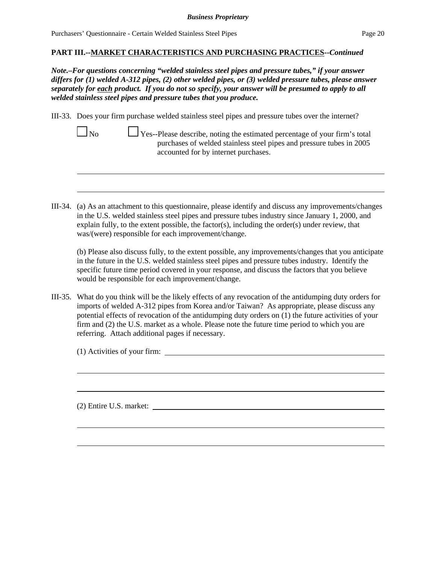### **PART III.--MARKET CHARACTERISTICS AND PURCHASING PRACTICES--***Continued*

*Note.–For questions concerning "welded stainless steel pipes and pressure tubes," if your answer differs for (1) welded A-312 pipes, (2) other welded pipes, or (3) welded pressure tubes, please answer separately for each product. If you do not so specify, your answer will be presumed to apply to all welded stainless steel pipes and pressure tubes that you produce.*

III-33. Does your firm purchase welded stainless steel pipes and pressure tubes over the internet?

| N <sub>o</sub> | Yes--Please describe, noting the estimated percentage of your firm's total |
|----------------|----------------------------------------------------------------------------|
|                | purchases of welded stainless steel pipes and pressure tubes in 2005       |
|                | accounted for by internet purchases.                                       |

III-34. (a) As an attachment to this questionnaire, please identify and discuss any improvements/changes in the U.S. welded stainless steel pipes and pressure tubes industry since January 1, 2000, and explain fully, to the extent possible, the factor(s), including the order(s) under review, that was/(were) responsible for each improvement/change.

(b) Please also discuss fully, to the extent possible, any improvements/changes that you anticipate in the future in the U.S. welded stainless steel pipes and pressure tubes industry. Identify the specific future time period covered in your response, and discuss the factors that you believe would be responsible for each improvement/change.

III-35. What do you think will be the likely effects of any revocation of the antidumping duty orders for imports of welded A-312 pipes from Korea and/or Taiwan? As appropriate, please discuss any potential effects of revocation of the antidumping duty orders on (1) the future activities of your firm and (2) the U.S. market as a whole. Please note the future time period to which you are referring. Attach additional pages if necessary.

(1) Activities of your firm:

(2) Entire U.S. market: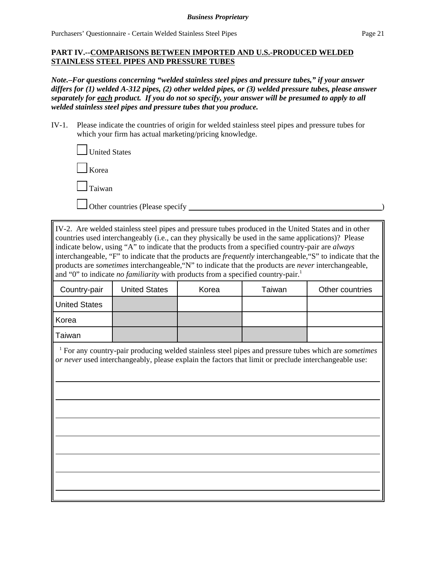# **PART IV.--COMPARISONS BETWEEN IMPORTED AND U.S.-PRODUCED WELDED STAINLESS STEEL PIPES AND PRESSURE TUBES**

*Note.–For questions concerning "welded stainless steel pipes and pressure tubes," if your answer differs for (1) welded A-312 pipes, (2) other welded pipes, or (3) welded pressure tubes, please answer separately for each product. If you do not so specify, your answer will be presumed to apply to all welded stainless steel pipes and pressure tubes that you produce.*

IV-1. Please indicate the countries of origin for welded stainless steel pipes and pressure tubes for which your firm has actual marketing/pricing knowledge.

| $\Box$ United States |
|----------------------|
| $\Box$ Korea         |
| $\Box$ Taiwan        |
|                      |

Other countries (Please specify )

IV-2. Are welded stainless steel pipes and pressure tubes produced in the United States and in other countries used interchangeably (i.e., can they physically be used in the same applications)? Please indicate below, using "A" to indicate that the products from a specified country-pair are *always* interchangeable, "F" to indicate that the products are *frequently* interchangeable,"S" to indicate that the products are *sometimes* interchangeable,"N" to indicate that the products are *never* interchangeable, and "0" to indicate *no familiarity* with products from a specified country-pair.<sup>1</sup>

| Country-pair         | <b>United States</b> | Korea | Taiwan | Other countries |
|----------------------|----------------------|-------|--------|-----------------|
| <b>United States</b> |                      |       |        |                 |
| Korea                |                      |       |        |                 |
| Taiwan               |                      |       |        |                 |

 1 For any country-pair producing welded stainless steel pipes and pressure tubes which are *sometimes or never* used interchangeably, please explain the factors that limit or preclude interchangeable use: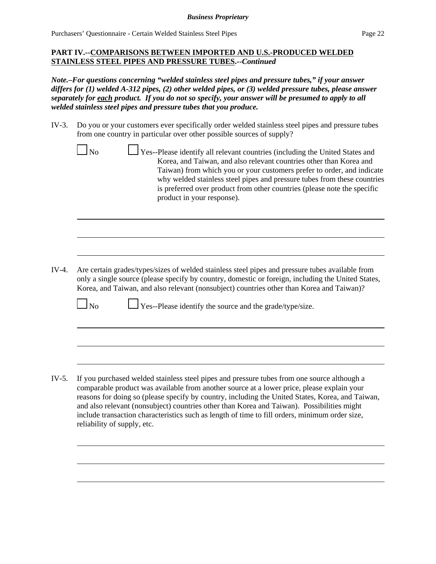# **PART IV.--COMPARISONS BETWEEN IMPORTED AND U.S.-PRODUCED WELDED STAINLESS STEEL PIPES AND PRESSURE TUBES.--***Continued*

*Note.–For questions concerning "welded stainless steel pipes and pressure tubes," if your answer differs for (1) welded A-312 pipes, (2) other welded pipes, or (3) welded pressure tubes, please answer separately for each product. If you do not so specify, your answer will be presumed to apply to all welded stainless steel pipes and pressure tubes that you produce.*

- IV-3. Do you or your customers ever specifically order welded stainless steel pipes and pressure tubes from one country in particular over other possible sources of supply?
	- No Yes--Please identify all relevant countries (including the United States and Korea, and Taiwan, and also relevant countries other than Korea and Taiwan) from which you or your customers prefer to order, and indicate why welded stainless steel pipes and pressure tubes from these countries is preferred over product from other countries (please note the specific product in your response).

IV-4. Are certain grades/types/sizes of welded stainless steel pipes and pressure tubes available from only a single source (please specify by country, domestic or foreign, including the United States, Korea, and Taiwan, and also relevant (nonsubject) countries other than Korea and Taiwan)?

 $\Box$  No  $\Box$  Yes--Please identify the source and the grade/type/size.

IV-5. If you purchased welded stainless steel pipes and pressure tubes from one source although a comparable product was available from another source at a lower price, please explain your reasons for doing so (please specify by country, including the United States, Korea, and Taiwan, and also relevant (nonsubject) countries other than Korea and Taiwan). Possibilities might include transaction characteristics such as length of time to fill orders, minimum order size, reliability of supply, etc.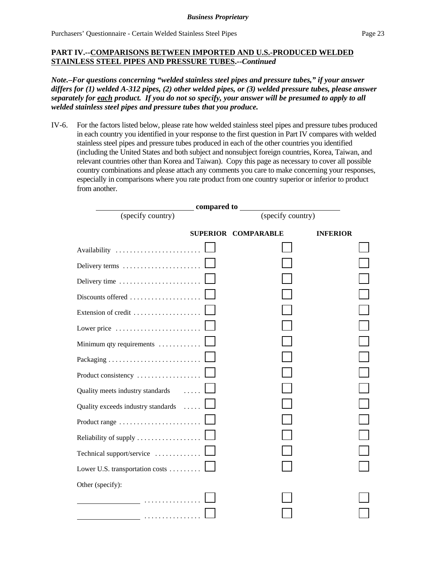### **PART IV.--COMPARISONS BETWEEN IMPORTED AND U.S.-PRODUCED WELDED STAINLESS STEEL PIPES AND PRESSURE TUBES.--***Continued*

*Note.–For questions concerning "welded stainless steel pipes and pressure tubes," if your answer differs for (1) welded A-312 pipes, (2) other welded pipes, or (3) welded pressure tubes, please answer separately for each product. If you do not so specify, your answer will be presumed to apply to all welded stainless steel pipes and pressure tubes that you produce.*

IV-6. For the factors listed below, please rate how welded stainless steel pipes and pressure tubes produced in each country you identified in your response to the first question in Part IV compares with welded stainless steel pipes and pressure tubes produced in each of the other countries you identified (including the United States and both subject and nonsubject foreign countries, Korea, Taiwan, and relevant countries other than Korea and Taiwan). Copy this page as necessary to cover all possible country combinations and please attach any comments you care to make concerning your responses, especially in comparisons where you rate product from one country superior or inferior to product from another.

|                                                                |                   | _ compared to _____        |                 |  |
|----------------------------------------------------------------|-------------------|----------------------------|-----------------|--|
| (specify country)                                              | (specify country) |                            |                 |  |
|                                                                |                   | <b>SUPERIOR COMPARABLE</b> | <b>INFERIOR</b> |  |
| Availability                                                   |                   |                            |                 |  |
| Delivery terms                                                 |                   |                            |                 |  |
|                                                                |                   |                            |                 |  |
| Discounts offered                                              |                   |                            |                 |  |
| Extension of credit                                            |                   |                            |                 |  |
| Lower price $\ldots \ldots \ldots \ldots \ldots \ldots \ldots$ |                   |                            |                 |  |
| Minimum qty requirements                                       |                   |                            |                 |  |
|                                                                |                   |                            |                 |  |
| Product consistency                                            |                   |                            |                 |  |
| Quality meets industry standards                               |                   |                            |                 |  |
| Quality exceeds industry standards                             |                   |                            |                 |  |
|                                                                |                   |                            |                 |  |
| Reliability of supply                                          |                   |                            |                 |  |
| Technical support/service                                      |                   |                            |                 |  |
| Lower U.S. transportation costs                                |                   |                            |                 |  |
| Other (specify):                                               |                   |                            |                 |  |
| .                                                              |                   |                            |                 |  |
| <u>.</u>                                                       |                   |                            |                 |  |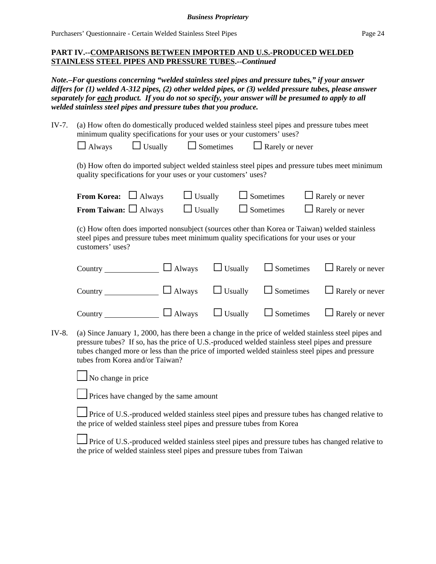### **PART IV.--COMPARISONS BETWEEN IMPORTED AND U.S.-PRODUCED WELDED STAINLESS STEEL PIPES AND PRESSURE TUBES.--***Continued*

*Note.–For questions concerning "welded stainless steel pipes and pressure tubes," if your answer differs for (1) welded A-312 pipes, (2) other welded pipes, or (3) welded pressure tubes, please answer separately for each product. If you do not so specify, your answer will be presumed to apply to all welded stainless steel pipes and pressure tubes that you produce.*

| IV-7. | (a) How often do domestically produced welded stainless steel pipes and pressure tubes meet<br>minimum quality specifications for your uses or your customers' uses?                                         |                                                        |                |                  |                                                                                                |  |
|-------|--------------------------------------------------------------------------------------------------------------------------------------------------------------------------------------------------------------|--------------------------------------------------------|----------------|------------------|------------------------------------------------------------------------------------------------|--|
|       | $\Box$ Always                                                                                                                                                                                                | $\Box$ Usually $\Box$ Sometimes $\Box$ Rarely or never |                |                  |                                                                                                |  |
|       | quality specifications for your uses or your customers' uses?                                                                                                                                                |                                                        |                |                  | (b) How often do imported subject welded stainless steel pipes and pressure tubes meet minimum |  |
|       | <b>From Korea:</b> $\Box$ Always                                                                                                                                                                             | $\Box$ Usually                                         |                | $\Box$ Sometimes | $\Box$ Rarely or never                                                                         |  |
|       | <b>From Taiwan:</b> $\Box$ Always                                                                                                                                                                            | $\Box$ Usually                                         |                | $\Box$ Sometimes | $\Box$ Rarely or never                                                                         |  |
|       | (c) How often does imported nonsubject (sources other than Korea or Taiwan) welded stainless<br>steel pipes and pressure tubes meet minimum quality specifications for your uses or your<br>customers' uses? |                                                        |                |                  |                                                                                                |  |
|       | Country $\Box$ Always $\Box$ Usually                                                                                                                                                                         |                                                        |                | $\Box$ Sometimes | $\Box$ Rarely or never                                                                         |  |
|       | Country $\Box$ Always                                                                                                                                                                                        |                                                        | $\Box$ Usually | $\Box$ Sometimes | $\Box$ Rarely or never                                                                         |  |
|       | Country                                                                                                                                                                                                      | $\Box$ Always                                          | $\Box$ Usually | Sometimes        | $\Box$ Rarely or never                                                                         |  |
|       |                                                                                                                                                                                                              |                                                        |                |                  |                                                                                                |  |

IV-8. (a) Since January 1, 2000, has there been a change in the price of welded stainless steel pipes and pressure tubes? If so, has the price of U.S.-produced welded stainless steel pipes and pressure tubes changed more or less than the price of imported welded stainless steel pipes and pressure tubes from Korea and/or Taiwan?

 $\Box$  No change in price



**Prices have changed by the same amount** 

**Price of U.S.-produced welded stainless steel pipes and pressure tubes has changed relative to** the price of welded stainless steel pipes and pressure tubes from Korea

Price of U.S.-produced welded stainless steel pipes and pressure tubes has changed relative to the price of welded stainless steel pipes and pressure tubes from Taiwan